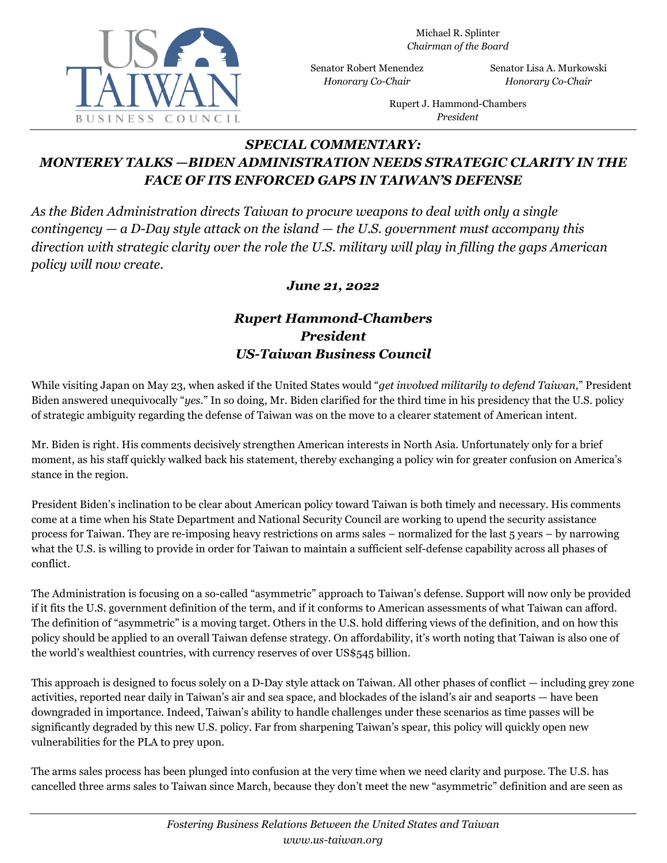

Michael R. Splinter *Chairman of the Board*

Senator Robert Menendez *Honorary Co-Chair*

Senator Lisa A. Murkowski *Honorary Co-Chair*

Rupert J. Hammond-Chambers *President*

## *SPECIAL COMMENTARY: MONTEREY TALKS —BIDEN ADMINISTRATION NEEDS STRATEGIC CLARITY IN THE FACE OF ITS ENFORCED GAPS IN TAIWAN'S DEFENSE*

*As the Biden Administration directs Taiwan to procure weapons to deal with only a single contingency — a D-Day style attack on the island — the U.S. government must accompany this direction with strategic clarity over the role the U.S. military will play in filling the gaps American policy will now create.*

## *June 21, 2022*

## *Rupert Hammond-Chambers President US-Taiwan Business Council*

While visiting Japan on May 23, when asked if the United States would "*get involved militarily to defend Taiwan,*" President Biden answered unequivocally "*yes.*" In so doing, Mr. Biden clarified for the third time in his presidency that the U.S. policy of strategic ambiguity regarding the defense of Taiwan was on the move to a clearer statement of American intent.

Mr. Biden is right. His comments decisively strengthen American interests in North Asia. Unfortunately only for a brief moment, as his staff quickly walked back his statement, thereby exchanging a policy win for greater confusion on America's stance in the region.

President Biden's inclination to be clear about American policy toward Taiwan is both timely and necessary. His comments come at a time when his State Department and National Security Council are working to upend the security assistance process for Taiwan. They are re-imposing heavy restrictions on arms sales – normalized for the last 5 years – by narrowing what the U.S. is willing to provide in order for Taiwan to maintain a sufficient self-defense capability across all phases of conflict.

The Administration is focusing on a so-called "asymmetric" approach to Taiwan's defense. Support will now only be provided if it fits the U.S. government definition of the term, and if it conforms to American assessments of what Taiwan can afford. The definition of "asymmetric" is a moving target. Others in the U.S. hold differing views of the definition, and on how this policy should be applied to an overall Taiwan defense strategy. On affordability, it's worth noting that Taiwan is also one of the world's wealthiest countries, with currency reserves of over US\$545 billion.

This approach is designed to focus solely on a D-Day style attack on Taiwan. All other phases of conflict — including grey zone activities, reported near daily in Taiwan's air and sea space, and blockades of the island's air and seaports — have been downgraded in importance. Indeed, Taiwan's ability to handle challenges under these scenarios as time passes will be significantly degraded by this new U.S. policy. Far from sharpening Taiwan's spear, this policy will quickly open new vulnerabilities for the PLA to prey upon.

The arms sales process has been plunged into confusion at the very time when we need clarity and purpose. The U.S. has cancelled three arms sales to Taiwan since March, because they don't meet the new "asymmetric" definition and are seen as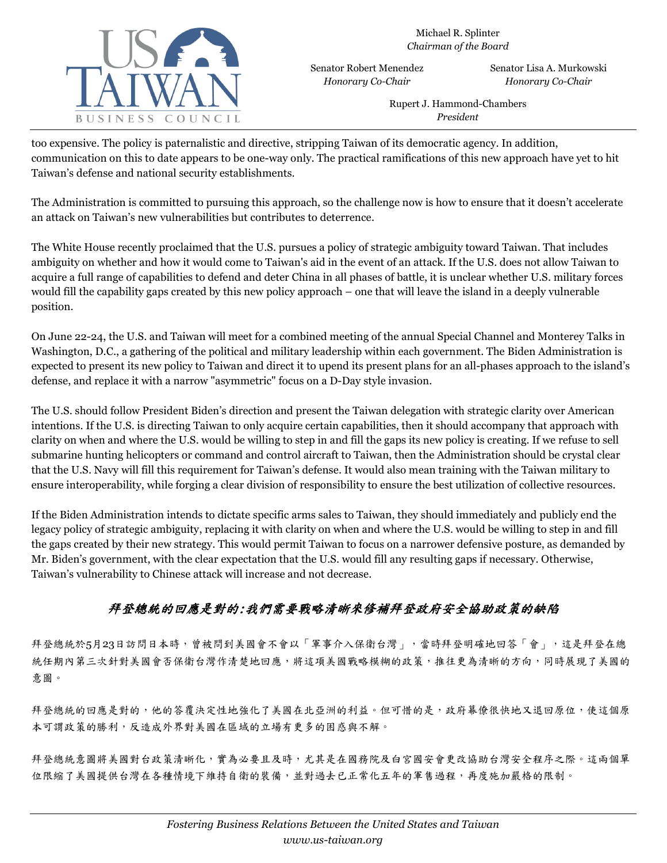

Senator Robert Menendez *Honorary Co-Chair*

Senator Lisa A. Murkowski *Honorary Co-Chair*

Rupert J. Hammond-Chambers *President*

too expensive. The policy is paternalistic and directive, stripping Taiwan of its democratic agency. In addition, communication on this to date appears to be one-way only. The practical ramifications of this new approach have yet to hit Taiwan's defense and national security establishments.

The Administration is committed to pursuing this approach, so the challenge now is how to ensure that it doesn't accelerate an attack on Taiwan's new vulnerabilities but contributes to deterrence.

The White House recently proclaimed that the U.S. pursues a policy of strategic ambiguity toward Taiwan. That includes ambiguity on whether and how it would come to Taiwan's aid in the event of an attack. If the U.S. does not allow Taiwan to acquire a full range of capabilities to defend and deter China in all phases of battle, it is unclear whether U.S. military forces would fill the capability gaps created by this new policy approach – one that will leave the island in a deeply vulnerable position.

On June 22-24, the U.S. and Taiwan will meet for a combined meeting of the annual Special Channel and Monterey Talks in Washington, D.C., a gathering of the political and military leadership within each government. The Biden Administration is expected to present its new policy to Taiwan and direct it to upend its present plans for an all-phases approach to the island's defense, and replace it with a narrow "asymmetric" focus on a D-Day style invasion.

The U.S. should follow President Biden's direction and present the Taiwan delegation with strategic clarity over American intentions. If the U.S. is directing Taiwan to only acquire certain capabilities, then it should accompany that approach with clarity on when and where the U.S. would be willing to step in and fill the gaps its new policy is creating. If we refuse to sell submarine hunting helicopters or command and control aircraft to Taiwan, then the Administration should be crystal clear that the U.S. Navy will fill this requirement for Taiwan's defense. It would also mean training with the Taiwan military to ensure interoperability, while forging a clear division of responsibility to ensure the best utilization of collective resources.

If the Biden Administration intends to dictate specific arms sales to Taiwan, they should immediately and publicly end the legacy policy of strategic ambiguity, replacing it with clarity on when and where the U.S. would be willing to step in and fill the gaps created by their new strategy. This would permit Taiwan to focus on a narrower defensive posture, as demanded by Mr. Biden's government, with the clear expectation that the U.S. would fill any resulting gaps if necessary. Otherwise, Taiwan's vulnerability to Chinese attack will increase and not decrease.

## 拜登總統的回應是對的:我們需要戰略清晰來修補拜登政府安全協助政策的缺陷

拜登總統於5月23日訪問日本時,曾被問到美國會不會以「軍事介入保衛台灣」,當時拜登明確地回答「會」,這是拜登在總 統任期內第三次針對美國會否保衛台灣作清楚地回應,將這項美國戰略模糊的政策,推往更為清晰的方向,同時展現了美國的 意圖。

拜登總統的回應是對的,他的答覆決定性地強化了美國在北亞洲的利益。但可惜的是,政府幕僚很快地又退回原位,使這個原 本可謂政策的勝利,反造成外界對美國在區域的立場有更多的困惑與不解。

拜登總統意圖將美國對台政策清晰化,實為必要且及時,尤其是在國務院及白宮國安會更改協助台灣安全程序之際。這兩個單 位限縮了美國提供台灣在各種情境下維持自衛的裝備,並對過去已正常化五年的軍售過程,再度施加嚴格的限制。